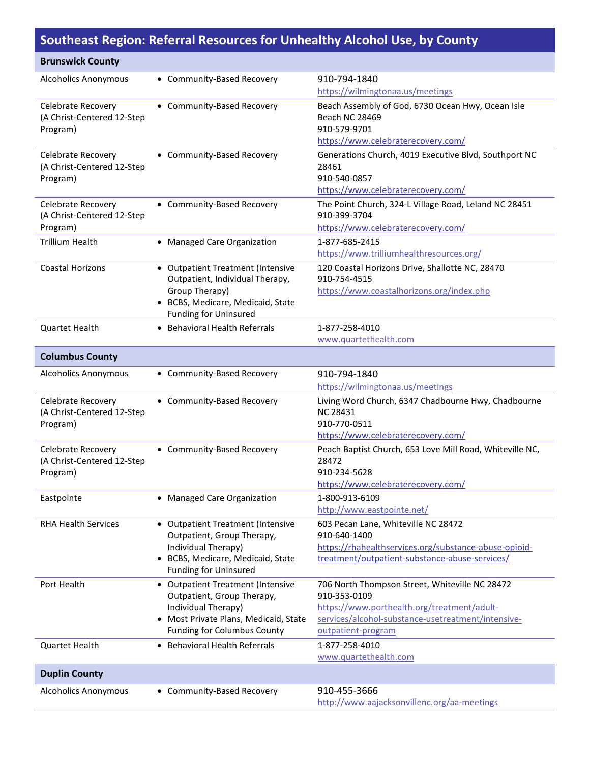## **Southeast Region: Referral Resources for Unhealthy Alcohol Use, by County**

| <b>Brunswick County</b>                          |                                                   |                                                                       |
|--------------------------------------------------|---------------------------------------------------|-----------------------------------------------------------------------|
| <b>Alcoholics Anonymous</b>                      | • Community-Based Recovery                        | 910-794-1840                                                          |
|                                                  |                                                   | https://wilmingtonaa.us/meetings                                      |
| Celebrate Recovery                               | • Community-Based Recovery                        | Beach Assembly of God, 6730 Ocean Hwy, Ocean Isle                     |
| (A Christ-Centered 12-Step                       |                                                   | <b>Beach NC 28469</b>                                                 |
| Program)                                         |                                                   | 910-579-9701                                                          |
|                                                  |                                                   | https://www.celebraterecovery.com/                                    |
| Celebrate Recovery                               | • Community-Based Recovery                        | Generations Church, 4019 Executive Blvd, Southport NC                 |
| (A Christ-Centered 12-Step                       |                                                   | 28461                                                                 |
| Program)                                         |                                                   | 910-540-0857<br>https://www.celebraterecovery.com/                    |
|                                                  |                                                   |                                                                       |
| Celebrate Recovery<br>(A Christ-Centered 12-Step | • Community-Based Recovery                        | The Point Church, 324-L Village Road, Leland NC 28451<br>910-399-3704 |
| Program)                                         |                                                   | https://www.celebraterecovery.com/                                    |
| <b>Trillium Health</b>                           | • Managed Care Organization                       | 1-877-685-2415                                                        |
|                                                  |                                                   | https://www.trilliumhealthresources.org/                              |
| <b>Coastal Horizons</b>                          | • Outpatient Treatment (Intensive                 | 120 Coastal Horizons Drive, Shallotte NC, 28470                       |
|                                                  | Outpatient, Individual Therapy,                   | 910-754-4515                                                          |
|                                                  | Group Therapy)                                    | https://www.coastalhorizons.org/index.php                             |
|                                                  | • BCBS, Medicare, Medicaid, State                 |                                                                       |
|                                                  | <b>Funding for Uninsured</b>                      |                                                                       |
| <b>Quartet Health</b>                            | <b>Behavioral Health Referrals</b>                | 1-877-258-4010                                                        |
|                                                  |                                                   | www.quartethealth.com                                                 |
| <b>Columbus County</b>                           |                                                   |                                                                       |
| <b>Alcoholics Anonymous</b>                      | • Community-Based Recovery                        | 910-794-1840                                                          |
|                                                  |                                                   | https://wilmingtonaa.us/meetings                                      |
| Celebrate Recovery                               | • Community-Based Recovery                        | Living Word Church, 6347 Chadbourne Hwy, Chadbourne                   |
| (A Christ-Centered 12-Step                       |                                                   | <b>NC 28431</b>                                                       |
| Program)                                         |                                                   | 910-770-0511<br>https://www.celebraterecovery.com/                    |
|                                                  |                                                   |                                                                       |
| Celebrate Recovery<br>(A Christ-Centered 12-Step | • Community-Based Recovery                        | Peach Baptist Church, 653 Love Mill Road, Whiteville NC,<br>28472     |
| Program)                                         |                                                   | 910-234-5628                                                          |
|                                                  |                                                   | https://www.celebraterecovery.com/                                    |
| Eastpointe                                       | • Managed Care Organization                       | 1-800-913-6109                                                        |
|                                                  |                                                   | http://www.eastpointe.net/                                            |
| <b>RHA Health Services</b>                       | • Outpatient Treatment (Intensive                 | 603 Pecan Lane, Whiteville NC 28472                                   |
|                                                  | Outpatient, Group Therapy,                        | 910-640-1400                                                          |
|                                                  | Individual Therapy)                               | https://rhahealthservices.org/substance-abuse-opioid-                 |
|                                                  | BCBS, Medicare, Medicaid, State                   | treatment/outpatient-substance-abuse-services/                        |
|                                                  | <b>Funding for Uninsured</b>                      |                                                                       |
| Port Health                                      | • Outpatient Treatment (Intensive                 | 706 North Thompson Street, Whiteville NC 28472                        |
|                                                  | Outpatient, Group Therapy,<br>Individual Therapy) | 910-353-0109<br>https://www.porthealth.org/treatment/adult-           |
|                                                  | • Most Private Plans, Medicaid, State             | services/alcohol-substance-usetreatment/intensive-                    |
|                                                  | <b>Funding for Columbus County</b>                | outpatient-program                                                    |
| Quartet Health                                   | <b>Behavioral Health Referrals</b>                | 1-877-258-4010                                                        |
|                                                  |                                                   | www.quartethealth.com                                                 |
| <b>Duplin County</b>                             |                                                   |                                                                       |
| <b>Alcoholics Anonymous</b>                      | • Community-Based Recovery                        | 910-455-3666                                                          |
|                                                  |                                                   | http://www.aajacksonvillenc.org/aa-meetings                           |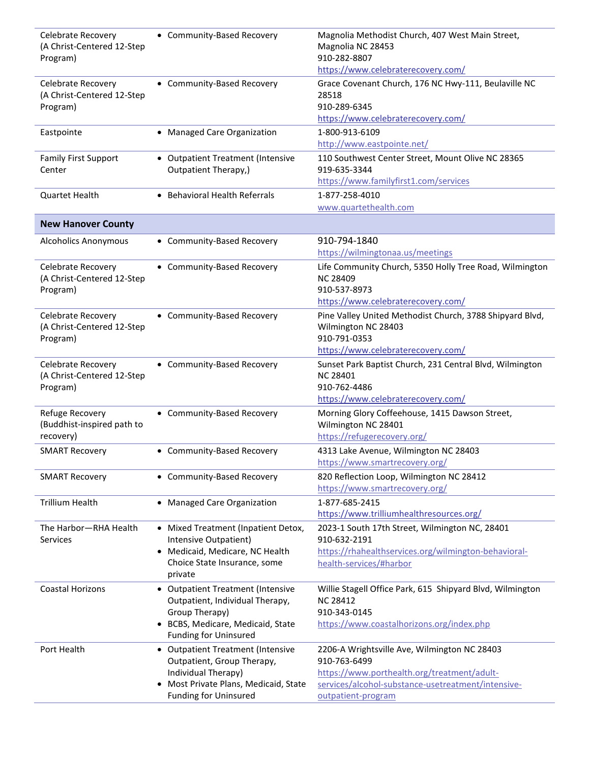| Celebrate Recovery<br>(A Christ-Centered 12-Step<br>Program) | • Community-Based Recovery                                | Magnolia Methodist Church, 407 West Main Street,<br>Magnolia NC 28453<br>910-282-8807 |
|--------------------------------------------------------------|-----------------------------------------------------------|---------------------------------------------------------------------------------------|
|                                                              |                                                           | https://www.celebraterecovery.com/                                                    |
| Celebrate Recovery                                           | • Community-Based Recovery                                | Grace Covenant Church, 176 NC Hwy-111, Beulaville NC                                  |
| (A Christ-Centered 12-Step                                   |                                                           | 28518                                                                                 |
| Program)                                                     |                                                           | 910-289-6345                                                                          |
|                                                              |                                                           | https://www.celebraterecovery.com/                                                    |
| Eastpointe                                                   | • Managed Care Organization                               | 1-800-913-6109                                                                        |
|                                                              |                                                           | http://www.eastpointe.net/                                                            |
| <b>Family First Support</b><br>Center                        | • Outpatient Treatment (Intensive<br>Outpatient Therapy,) | 110 Southwest Center Street, Mount Olive NC 28365<br>919-635-3344                     |
|                                                              |                                                           | https://www.familyfirst1.com/services                                                 |
| <b>Quartet Health</b>                                        | • Behavioral Health Referrals                             | 1-877-258-4010                                                                        |
|                                                              |                                                           | www.quartethealth.com                                                                 |
| <b>New Hanover County</b>                                    |                                                           |                                                                                       |
|                                                              |                                                           |                                                                                       |
| <b>Alcoholics Anonymous</b>                                  | • Community-Based Recovery                                | 910-794-1840                                                                          |
|                                                              |                                                           | https://wilmingtonaa.us/meetings                                                      |
| Celebrate Recovery                                           | • Community-Based Recovery                                | Life Community Church, 5350 Holly Tree Road, Wilmington                               |
| (A Christ-Centered 12-Step                                   |                                                           | <b>NC 28409</b>                                                                       |
| Program)                                                     |                                                           | 910-537-8973                                                                          |
|                                                              |                                                           | https://www.celebraterecovery.com/                                                    |
| Celebrate Recovery                                           | • Community-Based Recovery                                | Pine Valley United Methodist Church, 3788 Shipyard Blvd,                              |
| (A Christ-Centered 12-Step                                   |                                                           | Wilmington NC 28403                                                                   |
| Program)                                                     |                                                           | 910-791-0353                                                                          |
|                                                              |                                                           | https://www.celebraterecovery.com/                                                    |
| Celebrate Recovery                                           | • Community-Based Recovery                                | Sunset Park Baptist Church, 231 Central Blvd, Wilmington                              |
| (A Christ-Centered 12-Step                                   |                                                           | <b>NC 28401</b>                                                                       |
| Program)                                                     |                                                           | 910-762-4486                                                                          |
|                                                              |                                                           | https://www.celebraterecovery.com/                                                    |
| Refuge Recovery                                              | • Community-Based Recovery                                | Morning Glory Coffeehouse, 1415 Dawson Street,                                        |
| (Buddhist-inspired path to                                   |                                                           | Wilmington NC 28401                                                                   |
| recovery)                                                    |                                                           | https://refugerecovery.org/                                                           |
| <b>SMART Recovery</b>                                        | • Community-Based Recovery                                | 4313 Lake Avenue, Wilmington NC 28403                                                 |
|                                                              |                                                           | https://www.smartrecovery.org/                                                        |
| <b>SMART Recovery</b>                                        | • Community-Based Recovery                                | 820 Reflection Loop, Wilmington NC 28412                                              |
|                                                              |                                                           | https://www.smartrecovery.org/                                                        |
| <b>Trillium Health</b>                                       | • Managed Care Organization                               | 1-877-685-2415                                                                        |
|                                                              |                                                           | https://www.trilliumhealthresources.org/                                              |
| The Harbor-RHA Health                                        | • Mixed Treatment (Inpatient Detox,                       | 2023-1 South 17th Street, Wilmington NC, 28401                                        |
| <b>Services</b>                                              | Intensive Outpatient)                                     | 910-632-2191                                                                          |
|                                                              | • Medicaid, Medicare, NC Health                           | https://rhahealthservices.org/wilmington-behavioral-                                  |
|                                                              | Choice State Insurance, some                              | health-services/#harbor                                                               |
|                                                              | private                                                   |                                                                                       |
| <b>Coastal Horizons</b>                                      | • Outpatient Treatment (Intensive                         | Willie Stagell Office Park, 615 Shipyard Blvd, Wilmington                             |
|                                                              | Outpatient, Individual Therapy,                           | <b>NC 28412</b>                                                                       |
|                                                              | Group Therapy)                                            | 910-343-0145                                                                          |
|                                                              | • BCBS, Medicare, Medicaid, State                         | https://www.coastalhorizons.org/index.php                                             |
|                                                              | <b>Funding for Uninsured</b>                              |                                                                                       |
| Port Health                                                  | • Outpatient Treatment (Intensive                         | 2206-A Wrightsville Ave, Wilmington NC 28403                                          |
|                                                              | Outpatient, Group Therapy,                                | 910-763-6499                                                                          |
|                                                              | Individual Therapy)                                       | https://www.porthealth.org/treatment/adult-                                           |
|                                                              | • Most Private Plans, Medicaid, State                     | services/alcohol-substance-usetreatment/intensive-                                    |
|                                                              | <b>Funding for Uninsured</b>                              | outpatient-program                                                                    |
|                                                              |                                                           |                                                                                       |